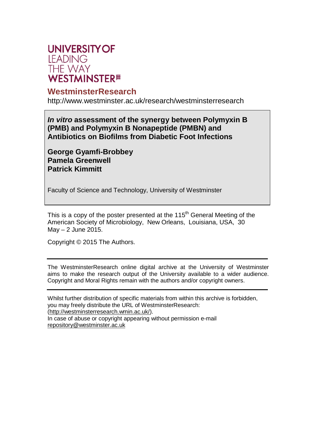

#### **WestminsterResearch**

<http://www.westminster.ac.uk/research/westminsterresearch>

*In vitro* **assessment of the synergy between Polymyxin B (PMB) and Polymyxin B Nonapeptide (PMBN) and Antibiotics on Biofilms from Diabetic Foot Infections**

**George Gyamfi-Brobbey Pamela Greenwell Patrick Kimmitt**

Faculty of Science and Technology, University of Westminster

This is a copy of the poster presented at the  $115<sup>th</sup>$  General Meeting of the American Society of Microbiology, New Orleans, Louisiana, USA, 30  $May - 2 June 2015.$ 

Copyright © 2015 The Authors.

The WestminsterResearch online digital archive at the University of Westminster aims to make the research output of the University available to a wider audience. Copyright and Moral Rights remain with the authors and/or copyright owners.

Whilst further distribution of specific materials from within this archive is forbidden, you may freely distribute the URL of WestminsterResearch: [\(http://westminsterresearch.wmin.ac.uk/\).](http://westminsterresearch.wmin.ac.uk/))

In case of abuse or copyright appearing without permission e-mail [repository@westminster.ac.uk](mailto:repository@westminster.ac.uk)